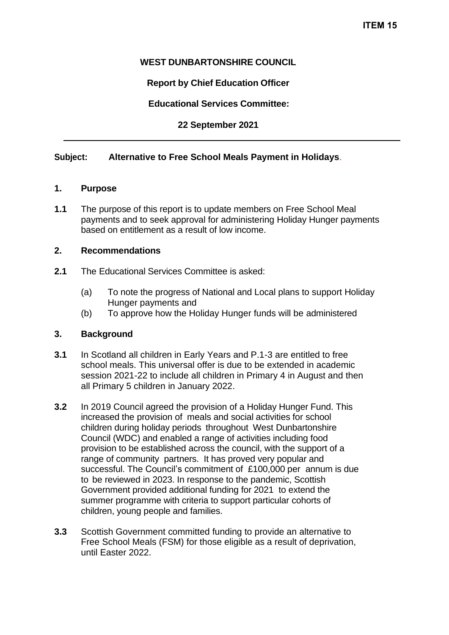## **WEST DUNBARTONSHIRE COUNCIL**

# **Report by Chief Education Officer**

## **Educational Services Committee:**

## **22 September 2021**

## **Subject: Alternative to Free School Meals Payment in Holidays**.

### **1. Purpose**

**1.1** The purpose of this report is to update members on Free School Meal payments and to seek approval for administering Holiday Hunger payments based on entitlement as a result of low income.

### **2. Recommendations**

- **2.1** The Educational Services Committee is asked:
	- (a) To note the progress of National and Local plans to support Holiday Hunger payments and
	- (b) To approve how the Holiday Hunger funds will be administered

## **3. Background**

- **3.1** In Scotland all children in Early Years and P.1-3 are entitled to free school meals. This universal offer is due to be extended in academic session 2021-22 to include all children in Primary 4 in August and then all Primary 5 children in January 2022.
- **3.2** In 2019 Council agreed the provision of a Holiday Hunger Fund. This increased the provision of meals and social activities for school children during holiday periods throughout West Dunbartonshire Council (WDC) and enabled a range of activities including food provision to be established across the council, with the support of a range of community partners. It has proved very popular and successful. The Council's commitment of £100,000 per annum is due to be reviewed in 2023. In response to the pandemic, Scottish Government provided additional funding for 2021 to extend the summer programme with criteria to support particular cohorts of children, young people and families.
- **3.3** Scottish Government committed funding to provide an alternative to Free School Meals (FSM) for those eligible as a result of deprivation, until Easter 2022.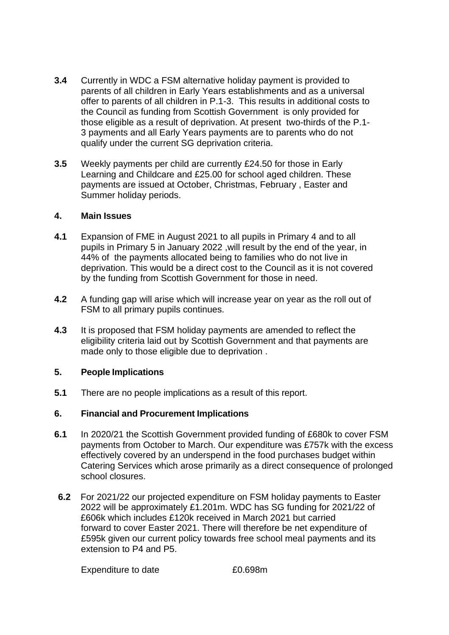- **3.4** Currently in WDC a FSM alternative holiday payment is provided to parents of all children in Early Years establishments and as a universal offer to parents of all children in P.1-3. This results in additional costs to the Council as funding from Scottish Government is only provided for those eligible as a result of deprivation. At present two-thirds of the P.1- 3 payments and all Early Years payments are to parents who do not qualify under the current SG deprivation criteria.
- **3.5** Weekly payments per child are currently £24.50 for those in Early Learning and Childcare and £25.00 for school aged children. These payments are issued at October, Christmas, February , Easter and Summer holiday periods.

### **4. Main Issues**

- **4.1** Expansion of FME in August 2021 to all pupils in Primary 4 and to all pupils in Primary 5 in January 2022 ,will result by the end of the year, in 44% of the payments allocated being to families who do not live in deprivation. This would be a direct cost to the Council as it is not covered by the funding from Scottish Government for those in need.
- **4.2** A funding gap will arise which will increase year on year as the roll out of FSM to all primary pupils continues.
- **4.3** It is proposed that FSM holiday payments are amended to reflect the eligibility criteria laid out by Scottish Government and that payments are made only to those eligible due to deprivation .

## **5. People Implications**

**5.1** There are no people implications as a result of this report.

## **6. Financial and Procurement Implications**

- **6.1** In 2020/21 the Scottish Government provided funding of £680k to cover FSM payments from October to March. Our expenditure was £757k with the excess effectively covered by an underspend in the food purchases budget within Catering Services which arose primarily as a direct consequence of prolonged school closures.
	- **6.2** For 2021/22 our projected expenditure on FSM holiday payments to Easter 2022 will be approximately £1.201m. WDC has SG funding for 2021/22 of £606k which includes £120k received in March 2021 but carried forward to cover Easter 2021. There will therefore be net expenditure of £595k given our current policy towards free school meal payments and its extension to P4 and P5.

Expenditure to date **EXPEDITE EXPENDITE EXPENDITE EXPENDITE EXPENDITE EXPENDITE EXPENDITE EXPENDITE EXPENDITE**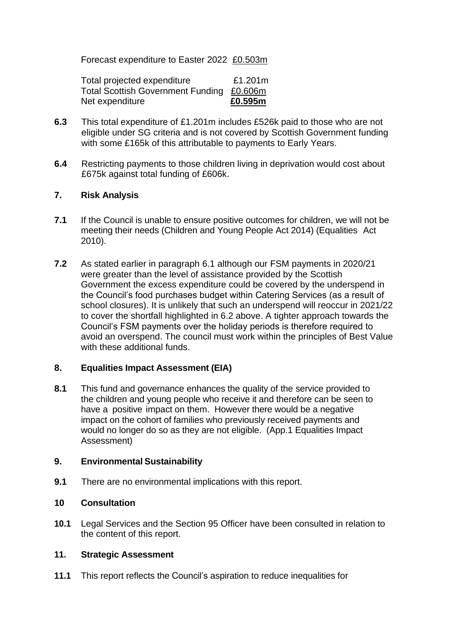Forecast expenditure to Easter 2022 £0.503m

| Total projected expenditure               | £1.201m |
|-------------------------------------------|---------|
| Total Scottish Government Funding £0.606m |         |
| Net expenditure                           | £0.595m |

- **6.3** This total expenditure of £1.201m includes £526k paid to those who are not eligible under SG criteria and is not covered by Scottish Government funding with some £165k of this attributable to payments to Early Years.
- **6.4** Restricting payments to those children living in deprivation would cost about £675k against total funding of £606k.

## **7. Risk Analysis**

- **7.1** If the Council is unable to ensure positive outcomes for children, we will not be meeting their needs (Children and Young People Act 2014) (Equalities Act 2010).
- **7.2** As stated earlier in paragraph 6.1 although our FSM payments in 2020/21 were greater than the level of assistance provided by the Scottish Government the excess expenditure could be covered by the underspend in the Council's food purchases budget within Catering Services (as a result of school closures). It is unlikely that such an underspend will reoccur in 2021/22 to cover the shortfall highlighted in 6.2 above. A tighter approach towards the Council's FSM payments over the holiday periods is therefore required to avoid an overspend. The council must work within the principles of Best Value with these additional funds.

## **8. Equalities Impact Assessment (EIA)**

**8.1** This fund and governance enhances the quality of the service provided to the children and young people who receive it and therefore can be seen to have a positive impact on them. However there would be a negative impact on the cohort of families who previously received payments and would no longer do so as they are not eligible. (App.1 Equalities Impact Assessment)

#### **9. Environmental Sustainability**

**9.1** There are no environmental implications with this report.

## **10 Consultation**

**10.1** Legal Services and the Section 95 Officer have been consulted in relation to the content of this report.

## **11. Strategic Assessment**

**11.1** This report reflects the Council's aspiration to reduce inequalities for